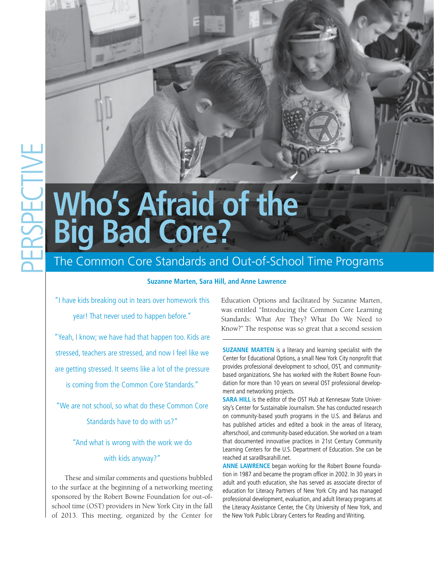# **Who's Afraid of the Big Bad Core?**

# The Common Core Standards and Out-of-School Time Programs

# **Suzanne Marten, Sara Hill, and Anne Lawrence**

"I have kids breaking out in tears over homework this year! That never used to happen before."

"Yeah, I know; we have had that happen too. Kids are stressed, teachers are stressed, and now I feel like we are getting stressed. It seems like a lot of the pressure is coming from the Common Core Standards."

"We are not school, so what do these Common Core Standards have to do with us?"

"And what is wrong with the work we do

#### with kids anyway?"

These and similar comments and questions bubbled to the surface at the beginning of a networking meeting sponsored by the Robert Bowne Foundation for out-ofschool time (OST) providers in New York City in the fall of 2013. This meeting, organized by the Center for

Education Options and facilitated by Suzanne Marten, was entitled "Introducing the Common Core Learning Standards: What Are They? What Do We Need to Know?" The response was so great that a second session

**SUZANNE MARTEN** is a literacy and learning specialist with the Center for Educational Options, a small New York City nonprofit that provides professional development to school, OST, and communitybased organizations. She has worked with the Robert Bowne Foundation for more than 10 years on several OST professional development and networking projects.

**SARA HILL** is the editor of the OST Hub at Kennesaw State University's Center for Sustainable Journalism. She has conducted research on community-based youth programs in the U.S. and Belarus and has published articles and edited a book in the areas of literacy, afterschool, and community-based education. She worked on a team that documented innovative practices in 21st Century Community Learning Centers for the U.S. Department of Education. She can be reached at sara@sarahill.net.

**ANNE LAWRENCE** began working for the Robert Bowne Foundation in 1987 and became the program officer in 2002. In 30 years in adult and youth education, she has served as associate director of education for Literacy Partners of New York City and has managed professional development, evaluation, and adult literacy programs at the Literacy Assistance Center, the City University of New York, and the New York Public Library Centers for Reading and Writing.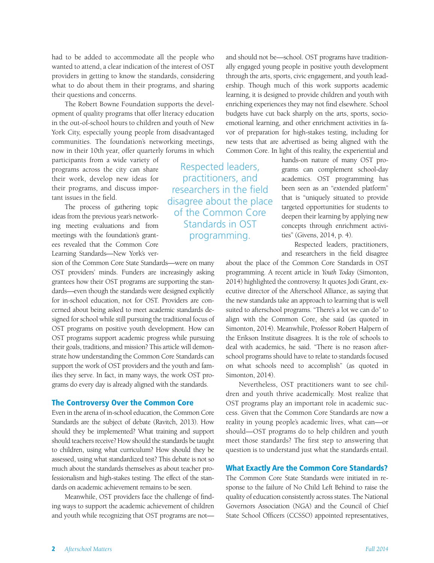had to be added to accommodate all the people who wanted to attend, a clear indication of the interest of OST providers in getting to know the standards, considering what to do about them in their programs, and sharing their questions and concerns.

The Robert Bowne Foundation supports the development of quality programs that offer literacy education in the out-of-school hours to children and youth of New York City, especially young people from disadvantaged communities. The foundation's networking meetings, now in their 10th year, offer quarterly forums in which

participants from a wide variety of programs across the city can share their work, develop new ideas for their programs, and discuss important issues in the field.

The process of gathering topic ideas from the previous year's networking meeting evaluations and from meetings with the foundation's grantees revealed that the Common Core Learning Standards—New York's ver-

sion of the Common Core State Standards—were on many OST providers' minds. Funders are increasingly asking grantees how their OST programs are supporting the standards—even though the standards were designed explicitly for in-school education, not for OST. Providers are concerned about being asked to meet academic standards designed for school while still pursuing the traditional focus of OST programs on positive youth development. How can OST programs support academic progress while pursuing their goals, traditions, and mission? This article will demonstrate how understanding the Common Core Standards can support the work of OST providers and the youth and families they serve. In fact, in many ways, the work OST programs do every day is already aligned with the standards.

#### The Controversy Over the Common Core

Even in the arena of in-school education, the Common Core Standards are the subject of debate (Ravitch, 2013). How should they be implemented? What training and support should teachers receive? How should the standards be taught to children, using what curriculum? How should they be assessed, using what standardized test? This debate is not so much about the standards themselves as about teacher professionalism and high-stakes testing. The effect of the standards on academic achievement remains to be seen.

Meanwhile, OST providers face the challenge of finding ways to support the academic achievement of children and youth while recognizing that OST programs are notand should not be—school. OST programs have traditionally engaged young people in positive youth development through the arts, sports, civic engagement, and youth leadership. Though much of this work supports academic learning, it is designed to provide children and youth with enriching experiences they may not find elsewhere. School budgets have cut back sharply on the arts, sports, socioemotional learning, and other enrichment activities in favor of preparation for high-stakes testing, including for new tests that are advertised as being aligned with the Common Core. In light of this reality, the experiential and

> hands-on nature of many OST programs can complement school-day academics. OST programming has been seen as an "extended platform" that is "uniquely situated to provide targeted opportunities for students to deepen their learning by applying new concepts through enrichment activities" (Givens, 2014, p. 4).

> Respected leaders, practitioners, and researchers in the field disagree

about the place of the Common Core Standards in OST programming. A recent article in *Youth Today* (Simonton, 2014) highlighted the controversy. It quotes Jodi Grant, executive director of the Afterschool Alliance, as saying that the new standards take an approach to learning that is well suited to afterschool programs. "There's a lot we can do" to align with the Common Core, she said (as quoted in Simonton, 2014). Meanwhile, Professor Robert Halpern of the Erikson Institute disagrees. It is the role of schools to deal with academics, he said. "There is no reason afterschool programs should have to relate to standards focused on what schools need to accomplish" (as quoted in Simonton, 2014).

Nevertheless, OST practitioners want to see children and youth thrive academically. Most realize that OST programs play an important role in academic success. Given that the Common Core Standards are now a reality in young people's academic lives, what can—or should—OST programs do to help children and youth meet those standards? The first step to answering that question is to understand just what the standards entail.

#### What Exactly Are the Common Core Standards?

The Common Core State Standards were initiated in response to the failure of No Child Left Behind to raise the quality of education consistently across states. The National Governors Association (NGA) and the Council of Chief State School Officers (CCSSO) appointed representatives,

Respected leaders, practitioners, and researchers in the field disagree about the place of the Common Core Standards in OST programming.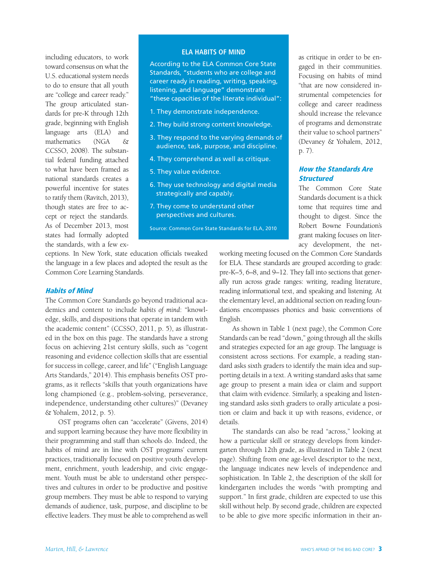including educators, to work toward consensus on what the U.S. educational system needs to do to ensure that all youth are "college and career ready." The group articulated standards for pre-K through 12th grade, beginning with English language arts (ELA) and mathematics (NGA & CCSSO, 2008). The substantial federal funding attached to what have been framed as national standards creates a powerful incentive for states to ratify them (Ravitch, 2013), though states are free to accept or reject the standards. As of December 2013, most states had formally adopted the standards, with a few ex-

#### **ELA Habits of Mind**

According to the ELA Common Core State Standards, "students who are college and career ready in reading, writing, speaking, listening, and language" demonstrate "these capacities of the literate individual":

- 1. They demonstrate independence.
- 2. They build strong content knowledge.
- 3. They respond to the varying demands of audience, task, purpose, and discipline.
- 4. They comprehend as well as critique.
- 5. They value evidence.
- 6. They use technology and digital media strategically and capably.
- 7. They come to understand other perspectives and cultures.

Source: Common Core State Standards for ELA, 2010

ceptions. In New York, state education officials tweaked the language in a few places and adopted the result as the Common Core Learning Standards.

#### Habits of Mind

The Common Core Standards go beyond traditional academics and content to include *habits of mind*: "knowledge, skills, and dispositions that operate in tandem with the academic content" (CCSSO, 2011, p. 5), as illustrated in the box on this page. The standards have a strong focus on achieving 21st century skills, such as "cogent reasoning and evidence collection skills that are essential for success in college, career, and life" ("English Language Arts Standards," 2014). This emphasis benefits OST programs, as it reflects "skills that youth organizations have long championed (e.g., problem-solving, perseverance, independence, understanding other cultures)" (Devaney & Yohalem, 2012, p. 5).

OST programs often can "accelerate" (Givens, 2014) and support learning because they have more flexibility in their programming and staff than schools do. Indeed, the habits of mind are in line with OST programs' current practices, traditionally focused on positive youth development, enrichment, youth leadership, and civic engagement. Youth must be able to understand other perspectives and cultures in order to be productive and positive group members. They must be able to respond to varying demands of audience, task, purpose, and discipline to be effective leaders. They must be able to comprehend as well

as critique in order to be engaged in their communities. Focusing on habits of mind "that are now considered instrumental competencies for college and career readiness should increase the relevance of programs and demonstrate their value to school partners" (Devaney & Yohalem, 2012, p. 7).

# How the Standards Are **Structured**

The Common Core State Standards document is a thick tome that requires time and thought to digest. Since the Robert Bowne Foundation's grant making focuses on literacy development, the net-

working meeting focused on the Common Core Standards for ELA. These standards are grouped according to grade: pre-K–5, 6–8, and 9–12. They fall into sections that generally run across grade ranges: writing, reading literature, reading informational text, and speaking and listening. At the elementary level, an additional section on reading foundations encompasses phonics and basic conventions of English.

As shown in Table 1 (next page), the Common Core Standards can be read "down," going through all the skills and strategies expected for an age group. The language is consistent across sections. For example, a reading standard asks sixth graders to identify the main idea and supporting details in a text. A writing standard asks that same age group to present a main idea or claim and support that claim with evidence. Similarly, a speaking and listening standard asks sixth graders to orally articulate a position or claim and back it up with reasons, evidence, or details.

The standards can also be read "across," looking at how a particular skill or strategy develops from kindergarten through 12th grade, as illustrated in Table 2 (next page). Shifting from one age-level descriptor to the next, the language indicates new levels of independence and sophistication. In Table 2, the description of the skill for kindergarten includes the words "with prompting and support." In first grade, children are expected to use this skill without help. By second grade, children are expected to be able to give more specific information in their an-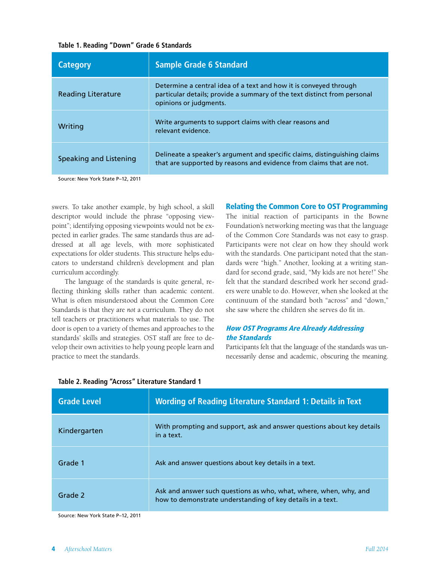#### **Table 1. Reading "Down" Grade 6 Standards**

| <b>Category</b>           | <b>Sample Grade 6 Standard</b>                                                                                                                                          |
|---------------------------|-------------------------------------------------------------------------------------------------------------------------------------------------------------------------|
| <b>Reading Literature</b> | Determine a central idea of a text and how it is conveyed through<br>particular details; provide a summary of the text distinct from personal<br>opinions or judgments. |
| Writing                   | Write arguments to support claims with clear reasons and<br>relevant evidence.                                                                                          |
| Speaking and Listening    | Delineate a speaker's argument and specific claims, distinguishing claims<br>that are supported by reasons and evidence from claims that are not.                       |

Source: New York State P–12, 2011

swers. To take another example, by high school, a skill descriptor would include the phrase "opposing viewpoint"; identifying opposing viewpoints would not be expected in earlier grades. The same standards thus are addressed at all age levels, with more sophisticated expectations for older students. This structure helps educators to understand children's development and plan curriculum accordingly.

The language of the standards is quite general, reflecting thinking skills rather than academic content. What is often misunderstood about the Common Core Standards is that they are *not* a curriculum. They do not tell teachers or practitioners what materials to use. The door is open to a variety of themes and approaches to the standards' skills and strategies. OST staff are free to develop their own activities to help young people learn and practice to meet the standards.

#### Relating the Common Core to OST Programming

The initial reaction of participants in the Bowne Foundation's networking meeting was that the language of the Common Core Standards was not easy to grasp. Participants were not clear on how they should work with the standards. One participant noted that the standards were "high." Another, looking at a writing standard for second grade, said, "My kids are not here!" She felt that the standard described work her second graders were unable to do. However, when she looked at the continuum of the standard both "across" and "down," she saw where the children she serves do fit in.

#### How OST Programs Are Already Addressing the Standards

Participants felt that the language of the standards was unnecessarily dense and academic, obscuring the meaning.

| <b>Grade Level</b> | <b>Wording of Reading Literature Standard 1: Details in Text</b>                                                                |
|--------------------|---------------------------------------------------------------------------------------------------------------------------------|
| Kindergarten       | With prompting and support, ask and answer questions about key details<br>in a text.                                            |
| Grade 1            | Ask and answer questions about key details in a text.                                                                           |
| Grade 2            | Ask and answer such questions as who, what, where, when, why, and<br>how to demonstrate understanding of key details in a text. |

#### **Table 2. Reading "Across" Literature Standard 1**

Source: New York State P–12, 2011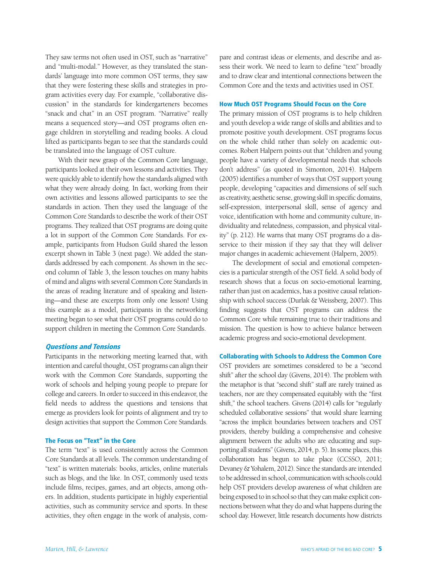They saw terms not often used in OST, such as "narrative" and "multi-modal." However, as they translated the standards' language into more common OST terms, they saw that they were fostering these skills and strategies in program activities every day. For example, "collaborative discussion" in the standards for kindergarteners becomes "snack and chat" in an OST program. "Narrative" really means a sequenced story—and OST programs often engage children in storytelling and reading books. A cloud lifted as participants began to see that the standards could be translated into the language of OST culture.

With their new grasp of the Common Core language, participants looked at their own lessons and activities. They were quickly able to identify how the standards aligned with what they were already doing. In fact, working from their own activities and lessons allowed participants to see the standards in action. Then they used the language of the Common Core Standards to describe the work of their OST programs. They realized that OST programs are doing quite a lot in support of the Common Core Standards. For example, participants from Hudson Guild shared the lesson excerpt shown in Table 3 (next page). We added the standards addressed by each component. As shown in the second column of Table 3, the lesson touches on many habits of mind and aligns with several Common Core Standards in the areas of reading literature and of speaking and listening—and these are excerpts from only one lesson! Using this example as a model, participants in the networking meeting began to see what their OST programs could do to support children in meeting the Common Core Standards.

#### Questions and Tensions

Participants in the networking meeting learned that, with intention and careful thought, OST programs can align their work with the Common Core Standards, supporting the work of schools and helping young people to prepare for college and careers. In order to succeed in this endeavor, the field needs to address the questions and tensions that emerge as providers look for points of alignment and try to design activities that support the Common Core Standards.

#### The Focus on "Text" in the Core

The term "text" is used consistently across the Common Core Standards at all levels. The common understanding of "text" is written materials: books, articles, online materials such as blogs, and the like. In OST, commonly used texts include films, recipes, games, and art objects, among others. In addition, students participate in highly experiential activities, such as community service and sports. In these activities, they often engage in the work of analysis, compare and contrast ideas or elements, and describe and assess their work. We need to learn to define "text" broadly and to draw clear and intentional connections between the Common Core and the texts and activities used in OST.

#### How Much OST Programs Should Focus on the Core

The primary mission of OST programs is to help children and youth develop a wide range of skills and abilities and to promote positive youth development. OST programs focus on the whole child rather than solely on academic outcomes. Robert Halpern points out that "children and young people have a variety of developmental needs that schools don't address" (as quoted in Simonton, 2014). Halpern (2005) identifies a number of ways that OST support young people, developing "capacities and dimensions of self such as creativity, aesthetic sense, growing skill in specific domains, self-expression, interpersonal skill, sense of agency and voice, identification with home and community culture, individuality and relatedness, compassion, and physical vitality" (p. 212). He warns that many OST programs do a disservice to their mission if they say that they will deliver major changes in academic achievement (Halpern, 2005).

The development of social and emotional competencies is a particular strength of the OST field. A solid body of research shows that a focus on socio-emotional learning, rather than just on academics, has a positive causal relationship with school success (Durlak & Weissberg, 2007). This finding suggests that OST programs can address the Common Core while remaining true to their traditions and mission. The question is how to achieve balance between academic progress and socio-emotional development.

#### Collaborating with Schools to Address the Common Core

OST providers are sometimes considered to be a "second shift" after the school day (Givens, 2014). The problem with the metaphor is that "second shift" staff are rarely trained as teachers, nor are they compensated equitably with the "first shift," the school teachers. Givens (2014) calls for "regularly scheduled collaborative sessions" that would share learning "across the implicit boundaries between teachers and OST providers, thereby building a comprehensive and cohesive alignment between the adults who are educating and supporting all students" (Givens, 2014, p. 5). In some places, this collaboration has begun to take place (CCSSO, 2011; Devaney & Yohalem, 2012). Since the standards are intended to be addressed in school, communication with schools could help OST providers develop awareness of what children are being exposed to in school so that they can make explicit connections between what they do and what happens during the school day. However, little research documents how districts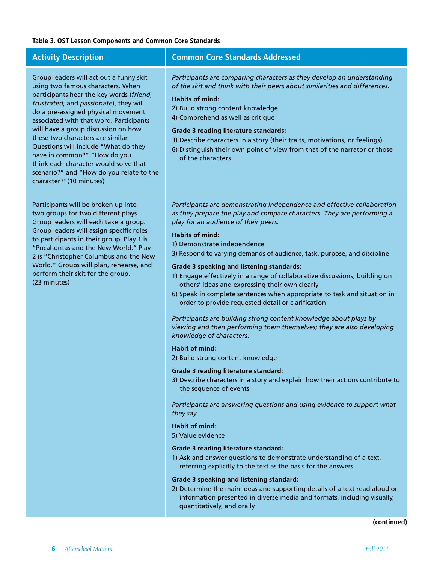# **Table 3. OST Lesson Components and Common Core Standards**

| <b>Activity Description</b>                                                                                                                                                                                                                                                                                                                                                                                                                                                                                              | <b>Common Core Standards Addressed</b>                                                                                                                                                                                                                                                                                                                                                                                                                                                                                                                                                                                                                                                                                                                                                                                                                                                                                                                                                                                                                                                                                                                                                                                                                                                                                                                                                                                                                                                                                                                                                                                        |
|--------------------------------------------------------------------------------------------------------------------------------------------------------------------------------------------------------------------------------------------------------------------------------------------------------------------------------------------------------------------------------------------------------------------------------------------------------------------------------------------------------------------------|-------------------------------------------------------------------------------------------------------------------------------------------------------------------------------------------------------------------------------------------------------------------------------------------------------------------------------------------------------------------------------------------------------------------------------------------------------------------------------------------------------------------------------------------------------------------------------------------------------------------------------------------------------------------------------------------------------------------------------------------------------------------------------------------------------------------------------------------------------------------------------------------------------------------------------------------------------------------------------------------------------------------------------------------------------------------------------------------------------------------------------------------------------------------------------------------------------------------------------------------------------------------------------------------------------------------------------------------------------------------------------------------------------------------------------------------------------------------------------------------------------------------------------------------------------------------------------------------------------------------------------|
| Group leaders will act out a funny skit<br>using two famous characters. When<br>participants hear the key words (friend,<br>frustrated, and passionate), they will<br>do a pre-assigned physical movement<br>associated with that word. Participants<br>will have a group discussion on how<br>these two characters are similar.<br>Questions will include "What do they<br>have in common?" "How do you<br>think each character would solve that<br>scenario?" and "How do you relate to the<br>character?"(10 minutes) | Participants are comparing characters as they develop an understanding<br>of the skit and think with their peers about similarities and differences.<br><b>Habits of mind:</b><br>2) Build strong content knowledge<br>4) Comprehend as well as critique<br><b>Grade 3 reading literature standards:</b><br>3) Describe characters in a story (their traits, motivations, or feelings)<br>6) Distinguish their own point of view from that of the narrator or those<br>of the characters                                                                                                                                                                                                                                                                                                                                                                                                                                                                                                                                                                                                                                                                                                                                                                                                                                                                                                                                                                                                                                                                                                                                      |
| Participants will be broken up into<br>two groups for two different plays.<br>Group leaders will each take a group.<br>Group leaders will assign specific roles<br>to participants in their group. Play 1 is<br>"Pocahontas and the New World." Play<br>2 is "Christopher Columbus and the New<br>World." Groups will plan, rehearse, and<br>perform their skit for the group.<br>(23 minutes)                                                                                                                           | Participants are demonstrating independence and effective collaboration<br>as they prepare the play and compare characters. They are performing a<br>play for an audience of their peers.<br><b>Habits of mind:</b><br>1) Demonstrate independence<br>3) Respond to varying demands of audience, task, purpose, and discipline<br><b>Grade 3 speaking and listening standards:</b><br>1) Engage effectively in a range of collaborative discussions, building on<br>others' ideas and expressing their own clearly<br>6) Speak in complete sentences when appropriate to task and situation in<br>order to provide requested detail or clarification<br>Participants are building strong content knowledge about plays by<br>viewing and then performing them themselves; they are also developing<br>knowledge of characters.<br><b>Habit of mind:</b><br>2) Build strong content knowledge<br><b>Grade 3 reading literature standard:</b><br>3) Describe characters in a story and explain how their actions contribute to<br>the sequence of events<br>Participants are answering questions and using evidence to support what<br>they say.<br><b>Habit of mind:</b><br>5) Value evidence<br><b>Grade 3 reading literature standard:</b><br>1) Ask and answer questions to demonstrate understanding of a text,<br>referring explicitly to the text as the basis for the answers<br><b>Grade 3 speaking and listening standard:</b><br>2) Determine the main ideas and supporting details of a text read aloud or<br>information presented in diverse media and formats, including visually,<br>quantitatively, and orally |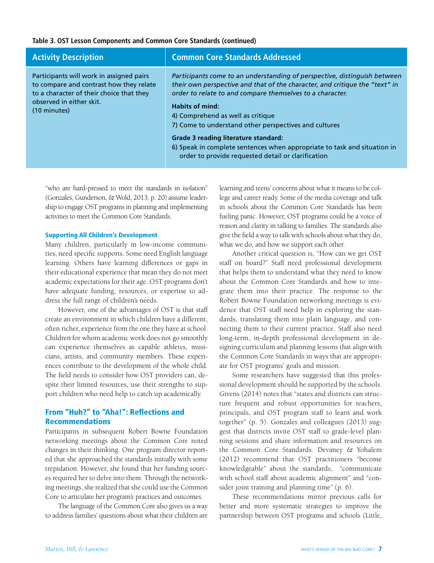#### **Table 3. OST Lesson Components and Common Core Standards (continued)**

| <b>Activity Description</b>                                                                                                                                                 | <b>Common Core Standards Addressed</b>                                                                                                                                                                                                                                                                                                                                                                                                                                                                                  |
|-----------------------------------------------------------------------------------------------------------------------------------------------------------------------------|-------------------------------------------------------------------------------------------------------------------------------------------------------------------------------------------------------------------------------------------------------------------------------------------------------------------------------------------------------------------------------------------------------------------------------------------------------------------------------------------------------------------------|
| Participants will work in assigned pairs<br>to compare and contrast how they relate<br>to a character of their choice that they<br>observed in either skit.<br>(10 minutes) | Participants come to an understanding of perspective, distinguish between<br>their own perspective and that of the character, and critique the "text" in<br>order to relate to and compare themselves to a character.<br><b>Habits of mind:</b><br>4) Comprehend as well as critique<br>7) Come to understand other perspectives and cultures<br>Grade 3 reading literature standard:<br>6) Speak in complete sentences when appropriate to task and situation in<br>order to provide requested detail or clarification |

"who are hard-pressed to meet the standards in isolation" (Gonzales, Gunderson, & Wold, 2013, p. 20) assume leadership to engage OST programs in planning and implementing activities to meet the Common Core Standards.

#### Supporting All Children's Development

Many children, particularly in low-income communities, need specific supports. Some need English language learning. Others have learning differences or gaps in their educational experience that mean they do not meet academic expectations for their age. OST programs don't have adequate funding, resources, or expertise to address the full range of children's needs.

However, one of the advantages of OST is that staff create an environment in which children have a different, often richer, experience from the one they have at school. Children for whom academic work does not go smoothly can experience themselves as capable athletes, musicians, artists, and community members. These experiences contribute to the development of the whole child. The field needs to consider how OST providers can, despite their limited resources, use their strengths to support children who need help to catch up academically.

# From "Huh?" to "Aha!": Reflections and Recommendations

Participants in subsequent Robert Bowne Foundation networking meetings about the Common Core noted changes in their thinking. One program director reported that she approached the standards initially with some trepidation. However, she found that her funding sources required her to delve into them. Through the networking meetings, she realized that she could use the Common Core to articulate her program's practices and outcomes.

The language of the Common Core also gives us a way to address families' questions about what their children are

learning and teens' concerns about what it means to be college and career ready. Some of the media coverage and talk in schools about the Common Core Standards has been fueling panic. However, OST programs could be a voice of reason and clarity in talking to families. The standards also give the field a way to talk with schools about what they do, what we do, and how we support each other.

Another critical question is, "How can we get OST staff on board?" Staff need professional development that helps them to understand what they need to know about the Common Core Standards and how to integrate them into their practice. The response to the Robert Bowne Foundation networking meetings is evidence that OST staff need help in exploring the standards, translating them into plain language, and connecting them to their current practice. Staff also need long-term, in-depth professional development in designing curriculum and planning lessons that align with the Common Core Standards in ways that are appropriate for OST programs' goals and mission.

Some researchers have suggested that this professional development should be supported by the schools. Givens (2014) notes that "states and districts can structure frequent and robust opportunities for teachers, principals, and OST program staff to learn and work together" (p. 5). Gonzales and colleagues (2013) suggest that districts invite OST staff to grade-level planning sessions and share information and resources on the Common Core Standards. Devaney & Yohalem (2012) recommend that OST practitioners "become knowledgeable" about the standards, "communicate with school staff about academic alignment" and "consider joint training and planning time" (p. 6).

These recommendations mirror previous calls for better and more systematic strategies to improve the partnership between OST programs and schools (Little,